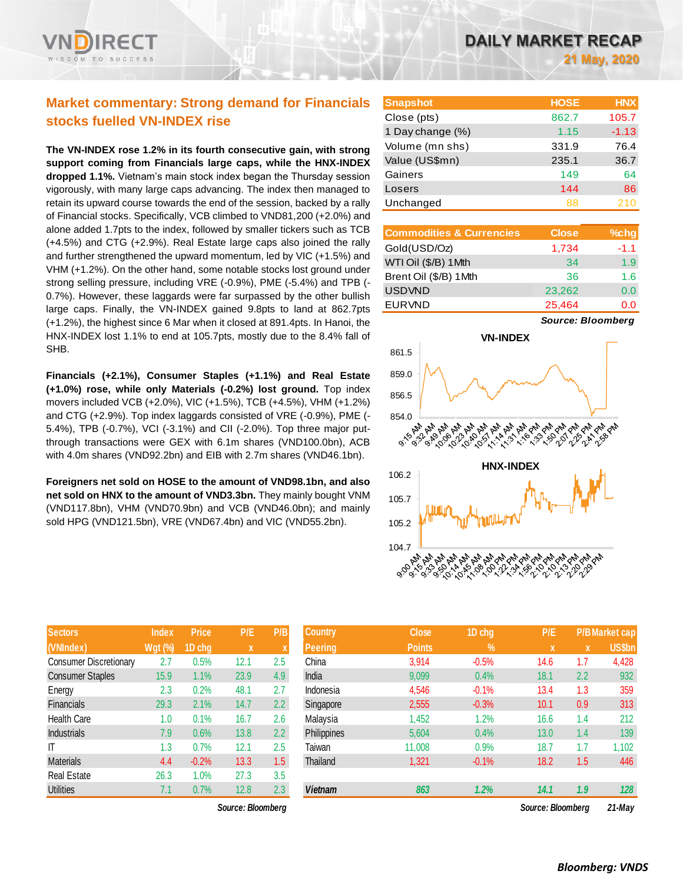# **Market commentary: Strong demand for Financials stocks fuelled VN-INDEX rise**

**The VN-INDEX rose 1.2% in its fourth consecutive gain, with strong support coming from Financials large caps, while the HNX-INDEX dropped 1.1%.** Vietnam's main stock index began the Thursday session vigorously, with many large caps advancing. The index then managed to retain its upward course towards the end of the session, backed by a rally of Financial stocks. Specifically, VCB climbed to VND81,200 (+2.0%) and alone added 1.7pts to the index, followed by smaller tickers such as TCB (+4.5%) and CTG (+2.9%). Real Estate large caps also joined the rally and further strengthened the upward momentum, led by VIC (+1.5%) and VHM (+1.2%). On the other hand, some notable stocks lost ground under strong selling pressure, including VRE (-0.9%), PME (-5.4%) and TPB (- 0.7%). However, these laggards were far surpassed by the other bullish large caps. Finally, the VN-INDEX gained 9.8pts to land at 862.7pts (+1.2%), the highest since 6 Mar when it closed at 891.4pts. In Hanoi, the HNX-INDEX lost 1.1% to end at 105.7pts, mostly due to the 8.4% fall of SHB.

**Financials (+2.1%), Consumer Staples (+1.1%) and Real Estate (+1.0%) rose, while only Materials (-0.2%) lost ground.** Top index movers included VCB (+2.0%), VIC (+1.5%), TCB (+4.5%), VHM (+1.2%) and CTG (+2.9%). Top index laggards consisted of VRE (-0.9%), PME (- 5.4%), TPB (-0.7%), VCI (-3.1%) and CII (-2.0%). Top three major putthrough transactions were GEX with 6.1m shares (VND100.0bn), ACB with 4.0m shares (VND92.2bn) and EIB with 2.7m shares (VND46.1bn).

**Foreigners net sold on HOSE to the amount of VND98.1bn, and also net sold on HNX to the amount of VND3.3bn.** They mainly bought VNM (VND117.8bn), VHM (VND70.9bn) and VCB (VND46.0bn); and mainly sold HPG (VND121.5bn), VRE (VND67.4bn) and VIC (VND55.2bn).

| <b>Sectors</b>                | <b>Index</b>   | <b>Price</b> | P/E  | P/B |
|-------------------------------|----------------|--------------|------|-----|
| (VNIndex)                     | <b>Wgt (%)</b> | 1D chg       | X    | X   |
| <b>Consumer Discretionary</b> | 2.7            | 0.5%         | 12.1 | 2.5 |
| <b>Consumer Staples</b>       | 15.9           | 1.1%         | 23.9 | 4.9 |
| Energy                        | 2.3            | 0.2%         | 48.1 | 2.7 |
| <b>Financials</b>             | 29.3           | 2.1%         | 14.7 | 2.2 |
| <b>Health Care</b>            | 1.0            | 0.1%         | 16.7 | 2.6 |
| <b>Industrials</b>            | 7.9            | 0.6%         | 13.8 | 2.2 |
| IT                            | 1.3            | 0.7%         | 12.1 | 2.5 |
| <b>Materials</b>              | 4.4            | $-0.2%$      | 13.3 | 1.5 |
| <b>Real Estate</b>            | 26.3           | 1.0%         | 27.3 | 3.5 |
| <b>Utilities</b>              | 7.1            | 0.7%         | 12.8 | 2.3 |

*Source: Bloomberg Source: Bloomberg 21-May*

| <b>Snapshot</b>  | <b>HOSE</b> | <b>HNX</b> |
|------------------|-------------|------------|
| Close (pts)      | 862.7       | 105.7      |
| 1 Day change (%) | 1.15        | $-1.13$    |
| Volume (mn shs)  | 331.9       | 76.4       |
| Value (US\$mn)   | 235.1       | 36.7       |
| Gainers          | 149         | 64         |
| Losers           | 144         | 86         |
| Unchanged        | 88          | 210        |

| <b>Commodities &amp; Currencies</b> | <b>Close</b> | $%$ chg |
|-------------------------------------|--------------|---------|
| Gold(USD/Oz)                        | 1,734        | $-1.1$  |
| WTI Oil (\$/B) 1Mth                 | 34           | 1.9     |
| Brent Oil (\$/B) 1Mth               | 36           | 1.6     |
| <b>USDVND</b>                       | 23,262       | 0.0     |
| <b>EURVND</b>                       | 25,464       | 0.0     |

*Source: Bloomberg*



| <b>Sectors</b>          | <b>Index</b>   | <b>Price</b> | P/E               | P/B | <b>Country</b> | <b>Close</b>  | 1D chg        | P/E               |     | <b>P/B Market cap</b> |
|-------------------------|----------------|--------------|-------------------|-----|----------------|---------------|---------------|-------------------|-----|-----------------------|
| (VNIndex)               | <b>Wgt (%)</b> | 1D chg       | $\mathbf x$       |     | Peering        | <b>Points</b> | $\frac{9}{6}$ | $\mathbf{x}$      | X   | <b>US\$bn</b>         |
| Consumer Discretionary  | 2.7            | 0.5%         | 12.1              | 2.5 | China          | 3,914         | $-0.5%$       | 14.6              | 1.7 | 4,428                 |
| <b>Consumer Staples</b> | 15.9           | 1.1%         | 23.9              | 4.9 | India          | 9,099         | 0.4%          | 18.1              | 2.2 | 932                   |
| Energy                  | 2.3            | 0.2%         | 48.1              | 2.7 | Indonesia      | 4,546         | $-0.1%$       | 13.4              | 1.3 | 359                   |
| Financials              | 29.3           | 2.1%         | 14.7              | 2.2 | Singapore      | 2,555         | $-0.3%$       | 10.1              | 0.9 | 313                   |
| Health Care             | 1.0            | 0.1%         | 16.7              | 2.6 | Malaysia       | 1,452         | 1.2%          | 16.6              | 1.4 | 212                   |
| <b>Industrials</b>      | 7.9            | 0.6%         | 13.8              | 2.2 | Philippines    | 5,604         | 0.4%          | 13.0              | 1.4 | 139                   |
| ſΤ                      | 1.3            | 0.7%         | 12.1              | 2.5 | Taiwan         | 11,008        | 0.9%          | 18.7              | 1.7 | 1,102                 |
| <b>Materials</b>        | 4.4            | $-0.2%$      | 13.3              | 1.5 | Thailand       | 1,321         | $-0.1%$       | 18.2              | 1.5 | 446                   |
| Real Estate             | 26.3           | $1.0\%$      | 27.3              | 3.5 |                |               |               |                   |     |                       |
| <b>Utilities</b>        | 7.1            | 0.7%         | 12.8              | 2.3 | <b>Vietnam</b> | 863           | 1.2%          | 14.1              | 1.9 | 128                   |
|                         |                |              | Source: Bloombera |     |                |               |               | Source: Bloombera |     | 21-May                |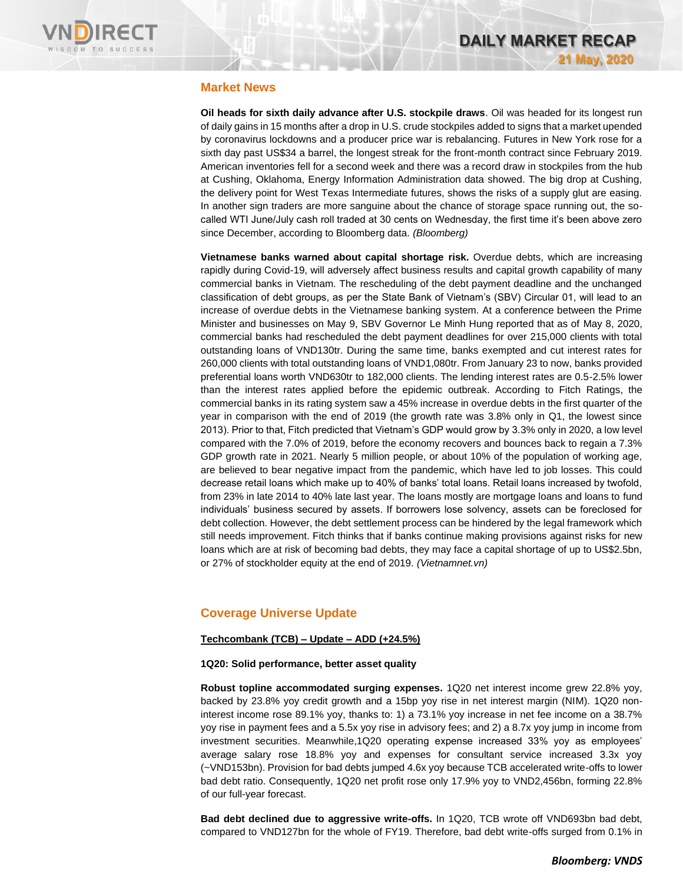

## **Market News**

**Oil heads for sixth daily advance after U.S. stockpile draws**. Oil was headed for its longest run of daily gains in 15 months after a drop in U.S. crude stockpiles added to signs that a market upended by coronavirus lockdowns and a producer price war is rebalancing. Futures in New York rose for a sixth day past US\$34 a barrel, the longest streak for the front-month contract since February 2019. American inventories fell for a second week and there was a record draw in stockpiles from the hub at Cushing, Oklahoma, Energy Information Administration data showed. The big drop at Cushing, the delivery point for West Texas Intermediate futures, shows the risks of a supply glut are easing. In another sign traders are more sanguine about the chance of storage space running out, the socalled WTI June/July cash roll traded at 30 cents on Wednesday, the first time it's been above zero since December, according to Bloomberg data. *(Bloomberg)*

**Vietnamese banks warned about capital shortage risk.** Overdue debts, which are increasing rapidly during Covid-19, will adversely affect business results and capital growth capability of many commercial banks in Vietnam. The rescheduling of the debt payment deadline and the unchanged classification of debt groups, as per the State Bank of Vietnam's (SBV) Circular 01, will lead to an increase of overdue debts in the Vietnamese banking system. At a conference between the Prime Minister and businesses on May 9, SBV Governor Le Minh Hung reported that as of May 8, 2020, commercial banks had rescheduled the debt payment deadlines for over 215,000 clients with total outstanding loans of VND130tr. During the same time, banks exempted and cut interest rates for 260,000 clients with total outstanding loans of VND1,080tr. From January 23 to now, banks provided preferential loans worth VND630tr to 182,000 clients. The lending interest rates are 0.5-2.5% lower than the interest rates applied before the epidemic outbreak. According to Fitch Ratings, the commercial banks in its rating system saw a 45% increase in overdue debts in the first quarter of the year in comparison with the end of 2019 (the growth rate was 3.8% only in Q1, the lowest since 2013). Prior to that, Fitch predicted that Vietnam's GDP would grow by 3.3% only in 2020, a low level compared with the 7.0% of 2019, before the economy recovers and bounces back to regain a 7.3% GDP growth rate in 2021. Nearly 5 million people, or about 10% of the population of working age, are believed to bear negative impact from the pandemic, which have led to job losses. This could decrease retail loans which make up to 40% of banks' total loans. Retail loans increased by twofold, from 23% in late 2014 to 40% late last year. The loans mostly are mortgage loans and loans to fund individuals' business secured by assets. If borrowers lose solvency, assets can be foreclosed for debt collection. However, the debt settlement process can be hindered by the legal framework which still needs improvement. Fitch thinks that if banks continue making provisions against risks for new loans which are at risk of becoming bad debts, they may face a capital shortage of up to US\$2.5bn, or 27% of stockholder equity at the end of 2019. *(Vietnamnet.vn)*

## **Coverage Universe Update**

#### **Techcombank (TCB) – Update – ADD (+24.5%)**

#### **1Q20: Solid performance, better asset quality**

**Robust topline accommodated surging expenses.** 1Q20 net interest income grew 22.8% yoy, backed by 23.8% yoy credit growth and a 15bp yoy rise in net interest margin (NIM). 1Q20 noninterest income rose 89.1% yoy, thanks to: 1) a 73.1% yoy increase in net fee income on a 38.7% yoy rise in payment fees and a 5.5x yoy rise in advisory fees; and 2) a 8.7x yoy jump in income from investment securities. Meanwhile,1Q20 operating expense increased 33% yoy as employees' average salary rose 18.8% yoy and expenses for consultant service increased 3.3x yoy (~VND153bn). Provision for bad debts jumped 4.6x yoy because TCB accelerated write-offs to lower bad debt ratio. Consequently, 1Q20 net profit rose only 17.9% yoy to VND2,456bn, forming 22.8% of our full-year forecast.

**Bad debt declined due to aggressive write-offs.** In 1Q20, TCB wrote off VND693bn bad debt, compared to VND127bn for the whole of FY19. Therefore, bad debt write-offs surged from 0.1% in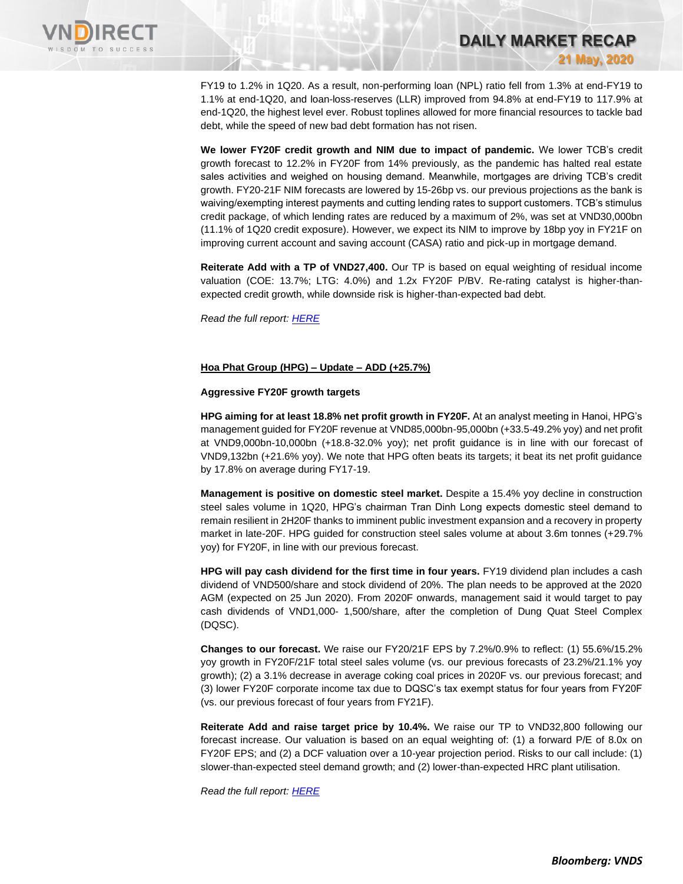

FY19 to 1.2% in 1Q20. As a result, non-performing loan (NPL) ratio fell from 1.3% at end-FY19 to 1.1% at end-1Q20, and loan-loss-reserves (LLR) improved from 94.8% at end-FY19 to 117.9% at end-1Q20, the highest level ever. Robust toplines allowed for more financial resources to tackle bad debt, while the speed of new bad debt formation has not risen.

**DAILY MARKET RECAP** 

**21 May, 2020**

**We lower FY20F credit growth and NIM due to impact of pandemic.** We lower TCB's credit growth forecast to 12.2% in FY20F from 14% previously, as the pandemic has halted real estate sales activities and weighed on housing demand. Meanwhile, mortgages are driving TCB's credit growth. FY20-21F NIM forecasts are lowered by 15-26bp vs. our previous projections as the bank is waiving/exempting interest payments and cutting lending rates to support customers. TCB's stimulus credit package, of which lending rates are reduced by a maximum of 2%, was set at VND30,000bn (11.1% of 1Q20 credit exposure). However, we expect its NIM to improve by 18bp yoy in FY21F on improving current account and saving account (CASA) ratio and pick-up in mortgage demand.

**Reiterate Add with a TP of VND27,400.** Our TP is based on equal weighting of residual income valuation (COE: 13.7%; LTG: 4.0%) and 1.2x FY20F P/BV. Re-rating catalyst is higher-thanexpected credit growth, while downside risk is higher-than-expected bad debt.

*Read the full report[: HERE](https://rfs.cgs-cimb.com/api/download?file=ECD7A76A-CEA9-4D75-9899-94461DEF1DCB)*

#### **Hoa Phat Group (HPG) – Update – ADD (+25.7%)**

#### **Aggressive FY20F growth targets**

**HPG aiming for at least 18.8% net profit growth in FY20F.** At an analyst meeting in Hanoi, HPG's management guided for FY20F revenue at VND85,000bn-95,000bn (+33.5-49.2% yoy) and net profit at VND9,000bn-10,000bn (+18.8-32.0% yoy); net profit guidance is in line with our forecast of VND9,132bn (+21.6% yoy). We note that HPG often beats its targets; it beat its net profit guidance by 17.8% on average during FY17-19.

**Management is positive on domestic steel market.** Despite a 15.4% yoy decline in construction steel sales volume in 1Q20, HPG's chairman Tran Dinh Long expects domestic steel demand to remain resilient in 2H20F thanks to imminent public investment expansion and a recovery in property market in late-20F. HPG guided for construction steel sales volume at about 3.6m tonnes (+29.7% yoy) for FY20F, in line with our previous forecast.

**HPG will pay cash dividend for the first time in four years.** FY19 dividend plan includes a cash dividend of VND500/share and stock dividend of 20%. The plan needs to be approved at the 2020 AGM (expected on 25 Jun 2020). From 2020F onwards, management said it would target to pay cash dividends of VND1,000- 1,500/share, after the completion of Dung Quat Steel Complex (DQSC).

**Changes to our forecast.** We raise our FY20/21F EPS by 7.2%/0.9% to reflect: (1) 55.6%/15.2% yoy growth in FY20F/21F total steel sales volume (vs. our previous forecasts of 23.2%/21.1% yoy growth); (2) a 3.1% decrease in average coking coal prices in 2020F vs. our previous forecast; and (3) lower FY20F corporate income tax due to DQSC's tax exempt status for four years from FY20F (vs. our previous forecast of four years from FY21F).

**Reiterate Add and raise target price by 10.4%.** We raise our TP to VND32,800 following our forecast increase. Our valuation is based on an equal weighting of: (1) a forward P/E of 8.0x on FY20F EPS; and (2) a DCF valuation over a 10-year projection period. Risks to our call include: (1) slower-than-expected steel demand growth; and (2) lower-than-expected HRC plant utilisation.

*Read the full report[: HERE](https://rfs.cgs-cimb.com/api/download?file=81F0D06B-F73E-4DF5-B560-11961B11B761)*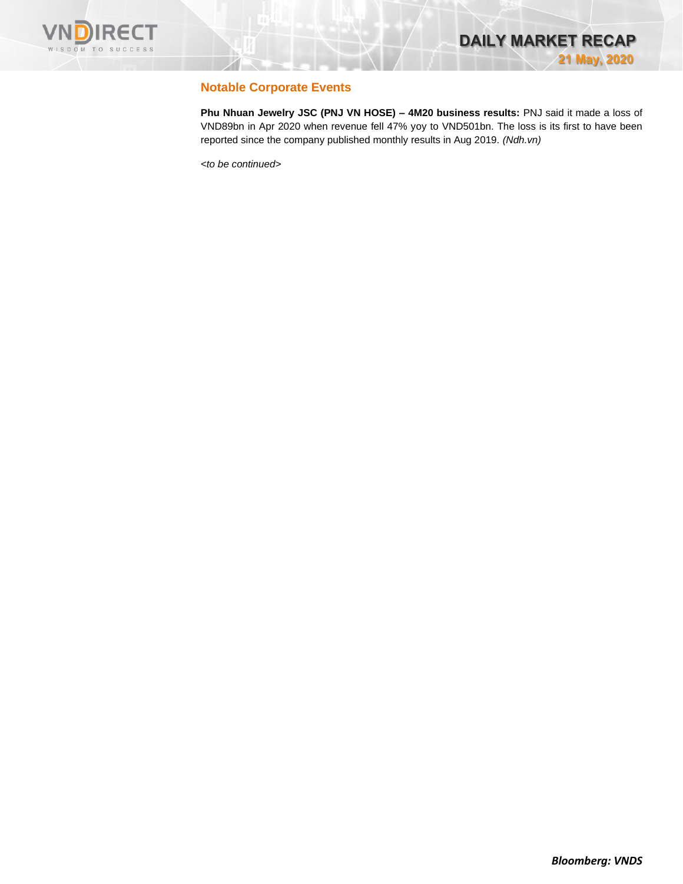

## **Notable Corporate Events**

**Phu Nhuan Jewelry JSC (PNJ VN HOSE) – 4M20 business results:** PNJ said it made a loss of VND89bn in Apr 2020 when revenue fell 47% yoy to VND501bn. The loss is its first to have been reported since the company published monthly results in Aug 2019. *(Ndh.vn)*

*<to be continued>*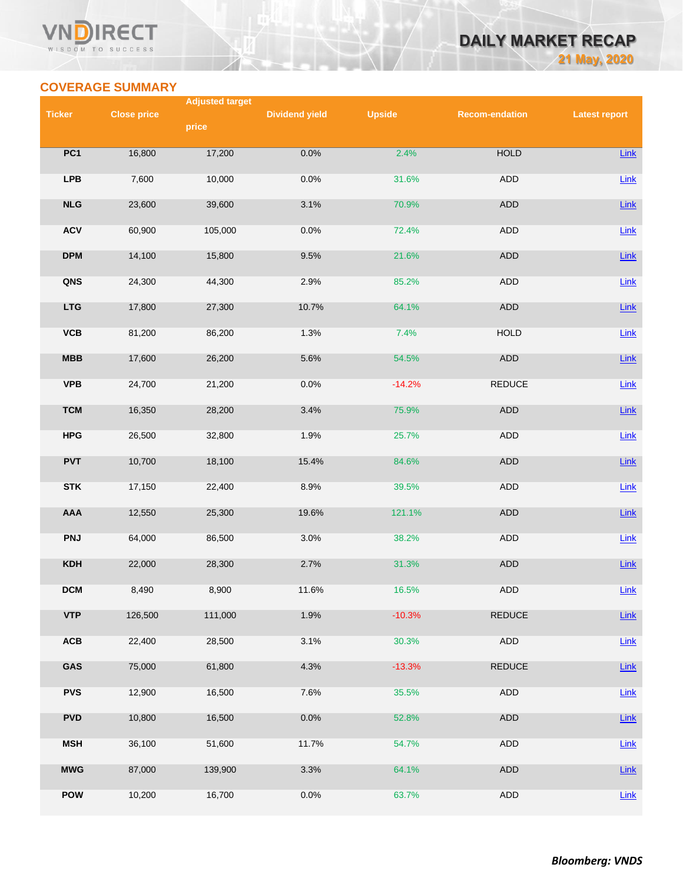#### VN **RECT** WISDOM TO SUCCESS

# **DAILY MARKET RECAP 21 May, 2020**

# **COVERAGE SUMMARY**

| <b>Ticker</b><br><b>Close price</b><br><b>Dividend yield</b><br><b>Upside</b><br><b>Recom-endation</b><br><b>Latest report</b><br>price<br><b>HOLD</b><br>PC1<br>16,800<br>17,200<br>0.0%<br>2.4%<br>Link<br><b>LPB</b><br>10,000<br>0.0%<br>ADD<br>Link<br>7,600<br>31.6%<br>NLG<br>ADD<br>Link<br>23,600<br>39,600<br>3.1%<br>70.9%<br><b>ACV</b><br><b>ADD</b><br>Link<br>0.0%<br>72.4%<br>60,900<br>105,000<br><b>DPM</b><br>ADD<br>15,800<br>9.5%<br>Link<br>14,100<br>21.6%<br>QNS<br>44,300<br>2.9%<br>85.2%<br>ADD<br>Link<br>24,300<br><b>LTG</b><br>64.1%<br>ADD<br>Link<br>17,800<br>27,300<br>10.7%<br>VCB<br>86,200<br>1.3%<br>7.4%<br><b>HOLD</b><br>Link<br>81,200<br>MBB<br>26,200<br>54.5%<br><b>ADD</b><br>Link<br>17,600<br>5.6%<br><b>VPB</b><br><b>REDUCE</b><br>21,200<br>0.0%<br>$-14.2%$<br>Link<br>24,700<br><b>TCM</b><br>28,200<br>75.9%<br>ADD<br>Link<br>16,350<br>3.4%<br><b>HPG</b><br>32,800<br>1.9%<br>25.7%<br>ADD<br>26,500<br><b>Link</b><br><b>PVT</b><br>ADD<br>Link<br>10,700<br>18,100<br>15.4%<br>84.6%<br><b>STK</b><br>22,400<br>8.9%<br>ADD<br>Link<br>17,150<br>39.5%<br>AAA<br>19.6%<br>ADD<br>12,550<br>25,300<br>121.1%<br><b>Link</b><br><b>PNJ</b><br><b>ADD</b><br>86,500<br>3.0%<br>38.2%<br>Link<br>64,000<br><b>KDH</b><br>2.7%<br>31.3%<br>ADD<br>Link<br>22,000<br>28,300<br><b>DCM</b><br>ADD<br>8,490<br>8,900<br>11.6%<br>16.5%<br>Link<br><b>VTP</b><br>126,500<br>111,000<br>1.9%<br>$-10.3%$<br><b>REDUCE</b><br>Link<br>$\mathbf{ACB}$<br>3.1%<br>22,400<br>28,500<br>ADD<br>30.3%<br><b>Link</b><br>GAS<br>75,000<br>61,800<br>4.3%<br>$-13.3%$<br><b>REDUCE</b><br>Link<br><b>PVS</b><br>16,500<br>7.6%<br>ADD<br>12,900<br>35.5%<br>$Link$<br><b>PVD</b><br>ADD<br>10,800<br>16,500<br>0.0%<br>Link<br>52.8%<br><b>MSH</b><br>51,600<br>11.7%<br>ADD<br>36,100<br>54.7%<br>Link<br><b>MWG</b><br>87,000<br>64.1%<br>ADD<br>Link<br>139,900<br>3.3%<br><b>POW</b><br>10,200<br>16,700<br>0.0%<br>63.7%<br>ADD<br>$Link$ |  | <b>Adjusted target</b> |  |  |
|------------------------------------------------------------------------------------------------------------------------------------------------------------------------------------------------------------------------------------------------------------------------------------------------------------------------------------------------------------------------------------------------------------------------------------------------------------------------------------------------------------------------------------------------------------------------------------------------------------------------------------------------------------------------------------------------------------------------------------------------------------------------------------------------------------------------------------------------------------------------------------------------------------------------------------------------------------------------------------------------------------------------------------------------------------------------------------------------------------------------------------------------------------------------------------------------------------------------------------------------------------------------------------------------------------------------------------------------------------------------------------------------------------------------------------------------------------------------------------------------------------------------------------------------------------------------------------------------------------------------------------------------------------------------------------------------------------------------------------------------------------------------------------------------------------------------------------------------------------------------------------------------------------------------------------------------------------------------------------------|--|------------------------|--|--|
|                                                                                                                                                                                                                                                                                                                                                                                                                                                                                                                                                                                                                                                                                                                                                                                                                                                                                                                                                                                                                                                                                                                                                                                                                                                                                                                                                                                                                                                                                                                                                                                                                                                                                                                                                                                                                                                                                                                                                                                          |  |                        |  |  |
|                                                                                                                                                                                                                                                                                                                                                                                                                                                                                                                                                                                                                                                                                                                                                                                                                                                                                                                                                                                                                                                                                                                                                                                                                                                                                                                                                                                                                                                                                                                                                                                                                                                                                                                                                                                                                                                                                                                                                                                          |  |                        |  |  |
|                                                                                                                                                                                                                                                                                                                                                                                                                                                                                                                                                                                                                                                                                                                                                                                                                                                                                                                                                                                                                                                                                                                                                                                                                                                                                                                                                                                                                                                                                                                                                                                                                                                                                                                                                                                                                                                                                                                                                                                          |  |                        |  |  |
|                                                                                                                                                                                                                                                                                                                                                                                                                                                                                                                                                                                                                                                                                                                                                                                                                                                                                                                                                                                                                                                                                                                                                                                                                                                                                                                                                                                                                                                                                                                                                                                                                                                                                                                                                                                                                                                                                                                                                                                          |  |                        |  |  |
|                                                                                                                                                                                                                                                                                                                                                                                                                                                                                                                                                                                                                                                                                                                                                                                                                                                                                                                                                                                                                                                                                                                                                                                                                                                                                                                                                                                                                                                                                                                                                                                                                                                                                                                                                                                                                                                                                                                                                                                          |  |                        |  |  |
|                                                                                                                                                                                                                                                                                                                                                                                                                                                                                                                                                                                                                                                                                                                                                                                                                                                                                                                                                                                                                                                                                                                                                                                                                                                                                                                                                                                                                                                                                                                                                                                                                                                                                                                                                                                                                                                                                                                                                                                          |  |                        |  |  |
|                                                                                                                                                                                                                                                                                                                                                                                                                                                                                                                                                                                                                                                                                                                                                                                                                                                                                                                                                                                                                                                                                                                                                                                                                                                                                                                                                                                                                                                                                                                                                                                                                                                                                                                                                                                                                                                                                                                                                                                          |  |                        |  |  |
|                                                                                                                                                                                                                                                                                                                                                                                                                                                                                                                                                                                                                                                                                                                                                                                                                                                                                                                                                                                                                                                                                                                                                                                                                                                                                                                                                                                                                                                                                                                                                                                                                                                                                                                                                                                                                                                                                                                                                                                          |  |                        |  |  |
|                                                                                                                                                                                                                                                                                                                                                                                                                                                                                                                                                                                                                                                                                                                                                                                                                                                                                                                                                                                                                                                                                                                                                                                                                                                                                                                                                                                                                                                                                                                                                                                                                                                                                                                                                                                                                                                                                                                                                                                          |  |                        |  |  |
|                                                                                                                                                                                                                                                                                                                                                                                                                                                                                                                                                                                                                                                                                                                                                                                                                                                                                                                                                                                                                                                                                                                                                                                                                                                                                                                                                                                                                                                                                                                                                                                                                                                                                                                                                                                                                                                                                                                                                                                          |  |                        |  |  |
|                                                                                                                                                                                                                                                                                                                                                                                                                                                                                                                                                                                                                                                                                                                                                                                                                                                                                                                                                                                                                                                                                                                                                                                                                                                                                                                                                                                                                                                                                                                                                                                                                                                                                                                                                                                                                                                                                                                                                                                          |  |                        |  |  |
|                                                                                                                                                                                                                                                                                                                                                                                                                                                                                                                                                                                                                                                                                                                                                                                                                                                                                                                                                                                                                                                                                                                                                                                                                                                                                                                                                                                                                                                                                                                                                                                                                                                                                                                                                                                                                                                                                                                                                                                          |  |                        |  |  |
|                                                                                                                                                                                                                                                                                                                                                                                                                                                                                                                                                                                                                                                                                                                                                                                                                                                                                                                                                                                                                                                                                                                                                                                                                                                                                                                                                                                                                                                                                                                                                                                                                                                                                                                                                                                                                                                                                                                                                                                          |  |                        |  |  |
|                                                                                                                                                                                                                                                                                                                                                                                                                                                                                                                                                                                                                                                                                                                                                                                                                                                                                                                                                                                                                                                                                                                                                                                                                                                                                                                                                                                                                                                                                                                                                                                                                                                                                                                                                                                                                                                                                                                                                                                          |  |                        |  |  |
|                                                                                                                                                                                                                                                                                                                                                                                                                                                                                                                                                                                                                                                                                                                                                                                                                                                                                                                                                                                                                                                                                                                                                                                                                                                                                                                                                                                                                                                                                                                                                                                                                                                                                                                                                                                                                                                                                                                                                                                          |  |                        |  |  |
|                                                                                                                                                                                                                                                                                                                                                                                                                                                                                                                                                                                                                                                                                                                                                                                                                                                                                                                                                                                                                                                                                                                                                                                                                                                                                                                                                                                                                                                                                                                                                                                                                                                                                                                                                                                                                                                                                                                                                                                          |  |                        |  |  |
|                                                                                                                                                                                                                                                                                                                                                                                                                                                                                                                                                                                                                                                                                                                                                                                                                                                                                                                                                                                                                                                                                                                                                                                                                                                                                                                                                                                                                                                                                                                                                                                                                                                                                                                                                                                                                                                                                                                                                                                          |  |                        |  |  |
|                                                                                                                                                                                                                                                                                                                                                                                                                                                                                                                                                                                                                                                                                                                                                                                                                                                                                                                                                                                                                                                                                                                                                                                                                                                                                                                                                                                                                                                                                                                                                                                                                                                                                                                                                                                                                                                                                                                                                                                          |  |                        |  |  |
|                                                                                                                                                                                                                                                                                                                                                                                                                                                                                                                                                                                                                                                                                                                                                                                                                                                                                                                                                                                                                                                                                                                                                                                                                                                                                                                                                                                                                                                                                                                                                                                                                                                                                                                                                                                                                                                                                                                                                                                          |  |                        |  |  |
|                                                                                                                                                                                                                                                                                                                                                                                                                                                                                                                                                                                                                                                                                                                                                                                                                                                                                                                                                                                                                                                                                                                                                                                                                                                                                                                                                                                                                                                                                                                                                                                                                                                                                                                                                                                                                                                                                                                                                                                          |  |                        |  |  |
|                                                                                                                                                                                                                                                                                                                                                                                                                                                                                                                                                                                                                                                                                                                                                                                                                                                                                                                                                                                                                                                                                                                                                                                                                                                                                                                                                                                                                                                                                                                                                                                                                                                                                                                                                                                                                                                                                                                                                                                          |  |                        |  |  |
|                                                                                                                                                                                                                                                                                                                                                                                                                                                                                                                                                                                                                                                                                                                                                                                                                                                                                                                                                                                                                                                                                                                                                                                                                                                                                                                                                                                                                                                                                                                                                                                                                                                                                                                                                                                                                                                                                                                                                                                          |  |                        |  |  |
|                                                                                                                                                                                                                                                                                                                                                                                                                                                                                                                                                                                                                                                                                                                                                                                                                                                                                                                                                                                                                                                                                                                                                                                                                                                                                                                                                                                                                                                                                                                                                                                                                                                                                                                                                                                                                                                                                                                                                                                          |  |                        |  |  |
|                                                                                                                                                                                                                                                                                                                                                                                                                                                                                                                                                                                                                                                                                                                                                                                                                                                                                                                                                                                                                                                                                                                                                                                                                                                                                                                                                                                                                                                                                                                                                                                                                                                                                                                                                                                                                                                                                                                                                                                          |  |                        |  |  |
|                                                                                                                                                                                                                                                                                                                                                                                                                                                                                                                                                                                                                                                                                                                                                                                                                                                                                                                                                                                                                                                                                                                                                                                                                                                                                                                                                                                                                                                                                                                                                                                                                                                                                                                                                                                                                                                                                                                                                                                          |  |                        |  |  |
|                                                                                                                                                                                                                                                                                                                                                                                                                                                                                                                                                                                                                                                                                                                                                                                                                                                                                                                                                                                                                                                                                                                                                                                                                                                                                                                                                                                                                                                                                                                                                                                                                                                                                                                                                                                                                                                                                                                                                                                          |  |                        |  |  |
|                                                                                                                                                                                                                                                                                                                                                                                                                                                                                                                                                                                                                                                                                                                                                                                                                                                                                                                                                                                                                                                                                                                                                                                                                                                                                                                                                                                                                                                                                                                                                                                                                                                                                                                                                                                                                                                                                                                                                                                          |  |                        |  |  |
|                                                                                                                                                                                                                                                                                                                                                                                                                                                                                                                                                                                                                                                                                                                                                                                                                                                                                                                                                                                                                                                                                                                                                                                                                                                                                                                                                                                                                                                                                                                                                                                                                                                                                                                                                                                                                                                                                                                                                                                          |  |                        |  |  |
|                                                                                                                                                                                                                                                                                                                                                                                                                                                                                                                                                                                                                                                                                                                                                                                                                                                                                                                                                                                                                                                                                                                                                                                                                                                                                                                                                                                                                                                                                                                                                                                                                                                                                                                                                                                                                                                                                                                                                                                          |  |                        |  |  |
|                                                                                                                                                                                                                                                                                                                                                                                                                                                                                                                                                                                                                                                                                                                                                                                                                                                                                                                                                                                                                                                                                                                                                                                                                                                                                                                                                                                                                                                                                                                                                                                                                                                                                                                                                                                                                                                                                                                                                                                          |  |                        |  |  |
|                                                                                                                                                                                                                                                                                                                                                                                                                                                                                                                                                                                                                                                                                                                                                                                                                                                                                                                                                                                                                                                                                                                                                                                                                                                                                                                                                                                                                                                                                                                                                                                                                                                                                                                                                                                                                                                                                                                                                                                          |  |                        |  |  |
|                                                                                                                                                                                                                                                                                                                                                                                                                                                                                                                                                                                                                                                                                                                                                                                                                                                                                                                                                                                                                                                                                                                                                                                                                                                                                                                                                                                                                                                                                                                                                                                                                                                                                                                                                                                                                                                                                                                                                                                          |  |                        |  |  |
|                                                                                                                                                                                                                                                                                                                                                                                                                                                                                                                                                                                                                                                                                                                                                                                                                                                                                                                                                                                                                                                                                                                                                                                                                                                                                                                                                                                                                                                                                                                                                                                                                                                                                                                                                                                                                                                                                                                                                                                          |  |                        |  |  |
|                                                                                                                                                                                                                                                                                                                                                                                                                                                                                                                                                                                                                                                                                                                                                                                                                                                                                                                                                                                                                                                                                                                                                                                                                                                                                                                                                                                                                                                                                                                                                                                                                                                                                                                                                                                                                                                                                                                                                                                          |  |                        |  |  |
|                                                                                                                                                                                                                                                                                                                                                                                                                                                                                                                                                                                                                                                                                                                                                                                                                                                                                                                                                                                                                                                                                                                                                                                                                                                                                                                                                                                                                                                                                                                                                                                                                                                                                                                                                                                                                                                                                                                                                                                          |  |                        |  |  |
|                                                                                                                                                                                                                                                                                                                                                                                                                                                                                                                                                                                                                                                                                                                                                                                                                                                                                                                                                                                                                                                                                                                                                                                                                                                                                                                                                                                                                                                                                                                                                                                                                                                                                                                                                                                                                                                                                                                                                                                          |  |                        |  |  |
|                                                                                                                                                                                                                                                                                                                                                                                                                                                                                                                                                                                                                                                                                                                                                                                                                                                                                                                                                                                                                                                                                                                                                                                                                                                                                                                                                                                                                                                                                                                                                                                                                                                                                                                                                                                                                                                                                                                                                                                          |  |                        |  |  |
|                                                                                                                                                                                                                                                                                                                                                                                                                                                                                                                                                                                                                                                                                                                                                                                                                                                                                                                                                                                                                                                                                                                                                                                                                                                                                                                                                                                                                                                                                                                                                                                                                                                                                                                                                                                                                                                                                                                                                                                          |  |                        |  |  |
|                                                                                                                                                                                                                                                                                                                                                                                                                                                                                                                                                                                                                                                                                                                                                                                                                                                                                                                                                                                                                                                                                                                                                                                                                                                                                                                                                                                                                                                                                                                                                                                                                                                                                                                                                                                                                                                                                                                                                                                          |  |                        |  |  |
|                                                                                                                                                                                                                                                                                                                                                                                                                                                                                                                                                                                                                                                                                                                                                                                                                                                                                                                                                                                                                                                                                                                                                                                                                                                                                                                                                                                                                                                                                                                                                                                                                                                                                                                                                                                                                                                                                                                                                                                          |  |                        |  |  |
|                                                                                                                                                                                                                                                                                                                                                                                                                                                                                                                                                                                                                                                                                                                                                                                                                                                                                                                                                                                                                                                                                                                                                                                                                                                                                                                                                                                                                                                                                                                                                                                                                                                                                                                                                                                                                                                                                                                                                                                          |  |                        |  |  |
|                                                                                                                                                                                                                                                                                                                                                                                                                                                                                                                                                                                                                                                                                                                                                                                                                                                                                                                                                                                                                                                                                                                                                                                                                                                                                                                                                                                                                                                                                                                                                                                                                                                                                                                                                                                                                                                                                                                                                                                          |  |                        |  |  |
|                                                                                                                                                                                                                                                                                                                                                                                                                                                                                                                                                                                                                                                                                                                                                                                                                                                                                                                                                                                                                                                                                                                                                                                                                                                                                                                                                                                                                                                                                                                                                                                                                                                                                                                                                                                                                                                                                                                                                                                          |  |                        |  |  |
|                                                                                                                                                                                                                                                                                                                                                                                                                                                                                                                                                                                                                                                                                                                                                                                                                                                                                                                                                                                                                                                                                                                                                                                                                                                                                                                                                                                                                                                                                                                                                                                                                                                                                                                                                                                                                                                                                                                                                                                          |  |                        |  |  |
|                                                                                                                                                                                                                                                                                                                                                                                                                                                                                                                                                                                                                                                                                                                                                                                                                                                                                                                                                                                                                                                                                                                                                                                                                                                                                                                                                                                                                                                                                                                                                                                                                                                                                                                                                                                                                                                                                                                                                                                          |  |                        |  |  |
|                                                                                                                                                                                                                                                                                                                                                                                                                                                                                                                                                                                                                                                                                                                                                                                                                                                                                                                                                                                                                                                                                                                                                                                                                                                                                                                                                                                                                                                                                                                                                                                                                                                                                                                                                                                                                                                                                                                                                                                          |  |                        |  |  |
|                                                                                                                                                                                                                                                                                                                                                                                                                                                                                                                                                                                                                                                                                                                                                                                                                                                                                                                                                                                                                                                                                                                                                                                                                                                                                                                                                                                                                                                                                                                                                                                                                                                                                                                                                                                                                                                                                                                                                                                          |  |                        |  |  |
|                                                                                                                                                                                                                                                                                                                                                                                                                                                                                                                                                                                                                                                                                                                                                                                                                                                                                                                                                                                                                                                                                                                                                                                                                                                                                                                                                                                                                                                                                                                                                                                                                                                                                                                                                                                                                                                                                                                                                                                          |  |                        |  |  |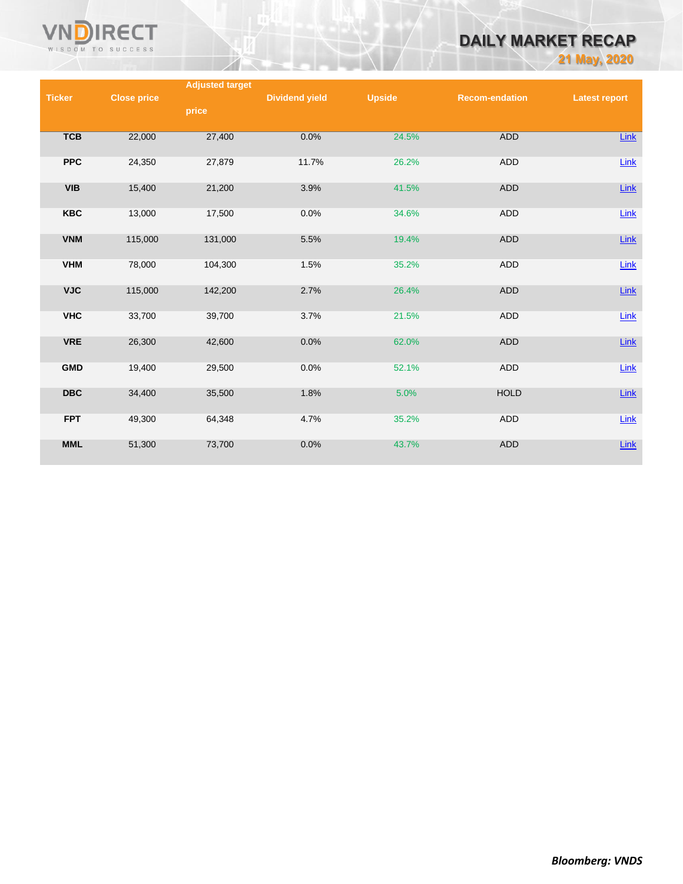

# **DAILY MARKET RECAP**

**21 May, 2020**

|               |                    | <b>Adjusted target</b> |                       |               |                       |                      |
|---------------|--------------------|------------------------|-----------------------|---------------|-----------------------|----------------------|
| <b>Ticker</b> | <b>Close price</b> |                        | <b>Dividend yield</b> | <b>Upside</b> | <b>Recom-endation</b> | <b>Latest report</b> |
|               |                    | price                  |                       |               |                       |                      |
|               |                    |                        |                       |               |                       |                      |
| <b>TCB</b>    | 22,000             | 27,400                 | 0.0%                  | 24.5%         | <b>ADD</b>            | Link                 |
|               |                    |                        |                       |               |                       |                      |
| <b>PPC</b>    |                    |                        |                       |               |                       |                      |
|               | 24,350             | 27,879                 | 11.7%                 | 26.2%         | <b>ADD</b>            | Link                 |
|               |                    |                        |                       |               |                       |                      |
| <b>VIB</b>    | 15,400             | 21,200                 | 3.9%                  | 41.5%         | <b>ADD</b>            | $Link$               |
|               |                    |                        |                       |               |                       |                      |
| <b>KBC</b>    | 13,000             | 17,500                 | 0.0%                  | 34.6%         | ADD                   | Link                 |
|               |                    |                        |                       |               |                       |                      |
| <b>VNM</b>    | 115,000            | 131,000                | 5.5%                  | 19.4%         | <b>ADD</b>            | Link                 |
|               |                    |                        |                       |               |                       |                      |
| <b>VHM</b>    | 78,000             | 104,300                | 1.5%                  | 35.2%         | <b>ADD</b>            | Link                 |
|               |                    |                        |                       |               |                       |                      |
| <b>VJC</b>    | 115,000            | 142,200                | 2.7%                  | 26.4%         | <b>ADD</b>            | $Link$               |
|               |                    |                        |                       |               |                       |                      |
| <b>VHC</b>    | 33,700             | 39,700                 | 3.7%                  | 21.5%         | <b>ADD</b>            | Link                 |
|               |                    |                        |                       |               |                       |                      |
|               |                    |                        |                       |               |                       |                      |
| <b>VRE</b>    | 26,300             | 42,600                 | 0.0%                  | 62.0%         | <b>ADD</b>            | $Link$               |
|               |                    |                        |                       |               |                       |                      |
| <b>GMD</b>    | 19,400             | 29,500                 | 0.0%                  | 52.1%         | <b>ADD</b>            | $Link$               |
|               |                    |                        |                       |               |                       |                      |
| <b>DBC</b>    | 34,400             | 35,500                 | 1.8%                  | 5.0%          | <b>HOLD</b>           | $Link$               |
|               |                    |                        |                       |               |                       |                      |
| <b>FPT</b>    | 49,300             | 64,348                 | 4.7%                  | 35.2%         | ADD                   | Link                 |
|               |                    |                        |                       |               |                       |                      |
| <b>MML</b>    | 51,300             | 73,700                 | 0.0%                  | 43.7%         | <b>ADD</b>            | $Link$               |
|               |                    |                        |                       |               |                       |                      |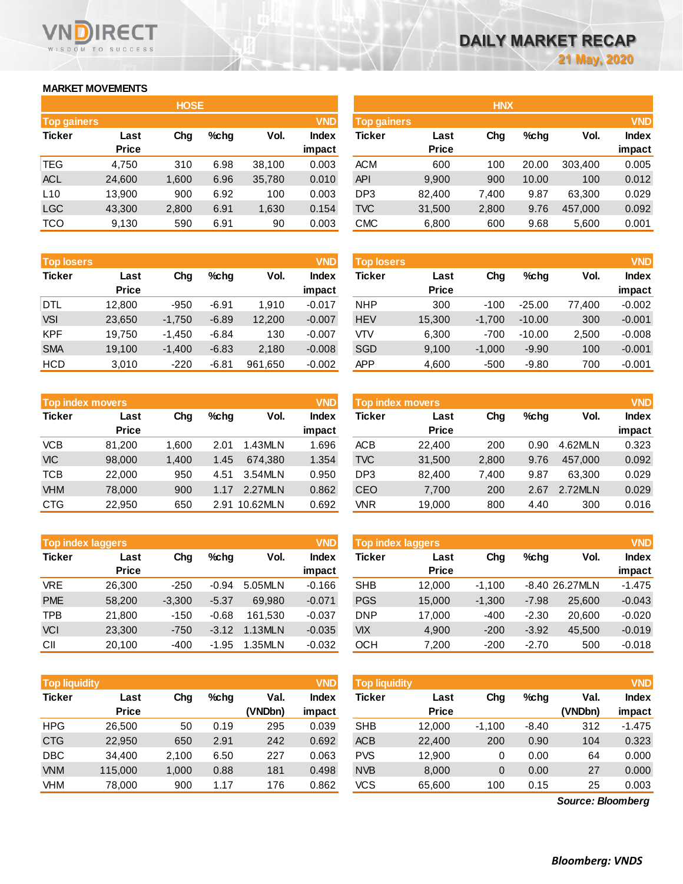## **MARKET MOVEMENTS**

WISDOM TO SUCCESS

**RECT** 

VND

| <b>HOSE</b>        |              |       |      |        |              |  |  |  |  |  |
|--------------------|--------------|-------|------|--------|--------------|--|--|--|--|--|
| <b>Top gainers</b> |              |       |      |        | <b>VND</b>   |  |  |  |  |  |
| <b>Ticker</b>      | Last         | Cha   | %chq | Vol.   | <b>Index</b> |  |  |  |  |  |
|                    | <b>Price</b> |       |      |        | impact       |  |  |  |  |  |
| <b>TEG</b>         | 4,750        | 310   | 6.98 | 38,100 | 0.003        |  |  |  |  |  |
| <b>ACL</b>         | 24,600       | 1,600 | 6.96 | 35,780 | 0.010        |  |  |  |  |  |
| L10                | 13,900       | 900   | 6.92 | 100    | 0.003        |  |  |  |  |  |
| <b>LGC</b>         | 43,300       | 2,800 | 6.91 | 1,630  | 0.154        |  |  |  |  |  |
| <b>TCO</b>         | 9,130        | 590   | 6.91 | 90     | 0.003        |  |  |  |  |  |

| <b>Top losers</b> |              |          |         |         | <b>VND</b>   |
|-------------------|--------------|----------|---------|---------|--------------|
| <b>Ticker</b>     | Last         | Cha      | %chq    | Vol.    | <b>Index</b> |
|                   | <b>Price</b> |          |         |         | impact       |
| <b>DTL</b>        | 12,800       | $-950$   | $-6.91$ | 1.910   | $-0.017$     |
| <b>VSI</b>        | 23,650       | $-1,750$ | $-6.89$ | 12,200  | $-0.007$     |
| <b>KPF</b>        | 19,750       | $-1,450$ | $-6.84$ | 130     | $-0.007$     |
| <b>SMA</b>        | 19,100       | $-1,400$ | $-6.83$ | 2,180   | $-0.008$     |
| <b>HCD</b>        | 3.010        | $-220$   | $-6.81$ | 961,650 | $-0.002$     |

| <b>VND</b><br><b>Top index movers</b> |              |             |      |          |              |  |  |  |  |
|---------------------------------------|--------------|-------------|------|----------|--------------|--|--|--|--|
| <b>Ticker</b>                         | Last         | Cha<br>%chq |      | Vol.     | <b>Index</b> |  |  |  |  |
|                                       | <b>Price</b> |             |      |          | impact       |  |  |  |  |
| <b>VCB</b>                            | 81,200       | 1,600       | 2.01 | 1.43MLN  | 1.696        |  |  |  |  |
| <b>VIC</b>                            | 98,000       | 1,400       | 1.45 | 674.380  | 1.354        |  |  |  |  |
| <b>TCB</b>                            | 22,000       | 950         | 4.51 | 3.54MLN  | 0.950        |  |  |  |  |
| <b>VHM</b>                            | 78,000       | 900         | 1.17 | 2.27MLN  | 0.862        |  |  |  |  |
| <b>CTG</b>                            | 22,950       | 650         | 2.91 | 10.62MLN | 0.692        |  |  |  |  |

|               | <b>VND</b><br><b>Top index laggers</b> |          |         |         |              |  |  |  |  |  |  |
|---------------|----------------------------------------|----------|---------|---------|--------------|--|--|--|--|--|--|
| <b>Ticker</b> | Last                                   | Cha      | %chq    | Vol.    | <b>Index</b> |  |  |  |  |  |  |
|               | <b>Price</b>                           |          |         |         | impact       |  |  |  |  |  |  |
| <b>VRE</b>    | 26,300                                 | $-250$   | $-0.94$ | 5.05MLN | $-0.166$     |  |  |  |  |  |  |
| <b>PME</b>    | 58,200                                 | $-3,300$ | $-5.37$ | 69.980  | $-0.071$     |  |  |  |  |  |  |
| <b>TPB</b>    | 21,800                                 | $-150$   | $-0.68$ | 161.530 | $-0.037$     |  |  |  |  |  |  |
| <b>VCI</b>    | 23,300                                 | $-750$   | $-3.12$ | 1.13MLN | $-0.035$     |  |  |  |  |  |  |
| CII           | 20,100                                 | $-400$   | -1.95   | 1.35MLN | $-0.032$     |  |  |  |  |  |  |

|               | <b>Top liquidity</b><br><b>VND</b> |       |         |                 |                 | Top liquidity |                      |          |         |                 | <b>VND</b>      |
|---------------|------------------------------------|-------|---------|-----------------|-----------------|---------------|----------------------|----------|---------|-----------------|-----------------|
| <b>Ticker</b> | Last<br><b>Price</b>               | Chg   | $%$ chq | Val.<br>(VNDbn) | Index<br>impact | Ticker        | Last<br><b>Price</b> | Chg      | %chg    | Val.<br>(VNDbn) | Index<br>impact |
| <b>HPG</b>    | 26.500                             | 50    | 0.19    | 295             | 0.039           | <b>SHB</b>    | 12.000               | $-1,100$ | $-8.40$ | 312             | $-1.475$        |
| <b>CTG</b>    | 22,950                             | 650   | 2.91    | 242             | 0.692           | <b>ACB</b>    | 22,400               | 200      | 0.90    | 104             | 0.323           |
| <b>DBC</b>    | 34.400                             | 2,100 | 6.50    | 227             | 0.063           | <b>PVS</b>    | 12,900               | 0        | 0.00    | 64              | 0.000           |
| <b>VNM</b>    | 115,000                            | 1,000 | 0.88    | 181             | 0.498           | <b>NVB</b>    | 8,000                | 0        | 0.00    | 27              | 0.000           |
| VHM           | 78,000                             | 900   | 1.17    | 176             | 0.862           | <b>VCS</b>    | 65,600               | 100      | 0.15    | 25              | 0.003           |

|                           |              | <b>HOSE</b> |         |        |                    |                 |              | <b>HNX</b> |       |            |              |
|---------------------------|--------------|-------------|---------|--------|--------------------|-----------------|--------------|------------|-------|------------|--------------|
| <b>VND</b><br>Top gainers |              |             |         |        | <b>Top gainers</b> |                 |              |            |       | <b>VND</b> |              |
| Ticker                    | Last         | Chg         | $%$ chg | Vol.   | <b>Index</b>       | Ticker          | Last         | Chg        | %chg  | Vol.       | <b>Index</b> |
|                           | <b>Price</b> |             |         |        | impact             |                 | <b>Price</b> |            |       |            | impact       |
| TEG                       | 4,750        | 310         | 6.98    | 38,100 | 0.003              | <b>ACM</b>      | 600          | 100        | 20.00 | 303,400    | 0.005        |
| <b>ACL</b>                | 24,600       | 1,600       | 6.96    | 35,780 | 0.010              | <b>API</b>      | 9,900        | 900        | 10.00 | 100        | 0.012        |
| L10                       | 13,900       | 900         | 6.92    | 100    | 0.003              | DP <sub>3</sub> | 82,400       | 7,400      | 9.87  | 63,300     | 0.029        |
| LGC                       | 43,300       | 2,800       | 6.91    | 1,630  | 0.154              | <b>TVC</b>      | 31,500       | 2,800      | 9.76  | 457,000    | 0.092        |
| тсо                       | 9,130        | 590         | 6.91    | 90     | 0.003              | CMC             | 6,800        | 600        | 9.68  | 5,600      | 0.001        |
|                           |              |             |         |        |                    |                 |              |            |       |            |              |

| <b>Top losers</b> |                      |          |         |         | <b>VND</b>             | <b>Top losers</b> |                      |          |          |        | <b>VND</b>             |
|-------------------|----------------------|----------|---------|---------|------------------------|-------------------|----------------------|----------|----------|--------|------------------------|
| Ticker            | Last<br><b>Price</b> | Chg      | $%$ chg | Vol.    | <b>Index</b><br>impact | Ticker            | Last<br><b>Price</b> | Chg      | $%$ chg  | Vol.   | <b>Index</b><br>impact |
| DTL               | 12.800               | $-950$   | $-6.91$ | 1.910   | $-0.017$               | <b>NHP</b>        | 300                  | $-100$   | $-25.00$ | 77.400 | $-0.002$               |
| <b>VSI</b>        | 23,650               | $-1.750$ | $-6.89$ | 12,200  | $-0.007$               | <b>HEV</b>        | 15,300               | $-1.700$ | $-10.00$ | 300    | $-0.001$               |
| <b>KPF</b>        | 19.750               | $-1.450$ | $-6.84$ | 130     | $-0.007$               | VTV               | 6,300                | $-700$   | $-10.00$ | 2.500  | $-0.008$               |
| <b>SMA</b>        | 19.100               | $-1.400$ | $-6.83$ | 2,180   | $-0.008$               | <b>SGD</b>        | 9,100                | $-1.000$ | $-9.90$  | 100    | $-0.001$               |
| HCD               | 3,010                | $-220$   | $-6.81$ | 961.650 | $-0.002$               | APP               | 4,600                | $-500$   | $-9.80$  | 700    | $-0.001$               |

| <b>Top index movers</b> |                      |       |      |          | <b>VND</b>             | <b>Top index movers</b> |                      |       |         |         |                        |
|-------------------------|----------------------|-------|------|----------|------------------------|-------------------------|----------------------|-------|---------|---------|------------------------|
| Ticker                  | Last<br><b>Price</b> | Chg   | %chq | Vol.     | <b>Index</b><br>impact | Ticker                  | Last<br><b>Price</b> | Chg   | $%$ chg | Vol.    | <b>Index</b><br>impact |
| VCB                     | 81.200               | 1.600 | 2.01 | 1.43MLN  | 1.696                  | <b>ACB</b>              | 22,400               | 200   | 0.90    | 4.62MLN | 0.323                  |
| <b>VIC</b>              | 98,000               | 1.400 | 1.45 | 674.380  | 1.354                  | <b>TVC</b>              | 31,500               | 2,800 | 9.76    | 457.000 | 0.092                  |
| TCB                     | 22,000               | 950   | 4.51 | 3.54MLN  | 0.950                  | DP <sub>3</sub>         | 82,400               | 7,400 | 9.87    | 63.300  | 0.029                  |
| <b>VHM</b>              | 78,000               | 900   | 1.17 | 2.27MLN  | 0.862                  | <b>CEO</b>              | 7,700                | 200   | 2.67    | 2.72MLN | 0.029                  |
| CTG                     | 22,950               | 650   | 2.91 | 10.62MLN | 0.692                  | VNR                     | 19,000               | 800   | 4.40    | 300     | 0.016                  |

| <b>Top index laggers</b> |              |          |         |         | <b>VND</b>   | <b>Top index laggers</b> |              |          |         |                |              |
|--------------------------|--------------|----------|---------|---------|--------------|--------------------------|--------------|----------|---------|----------------|--------------|
| Ticker                   | Last         | Chg      | $%$ chg | Vol.    | <b>Index</b> | Ticker                   | Last         | Chg      | $%$ chg | Vol.           | <b>Index</b> |
|                          | <b>Price</b> |          |         |         | impact       |                          | <b>Price</b> |          |         |                | impact       |
| VRE                      | 26.300       | $-250$   | $-0.94$ | 5.05MLN | $-0.166$     | <b>SHB</b>               | 12.000       | $-1.100$ |         | -8.40 26.27MLN | $-1.475$     |
| <b>PME</b>               | 58,200       | $-3.300$ | $-5.37$ | 69.980  | $-0.071$     | <b>PGS</b>               | 15,000       | $-1.300$ | $-7.98$ | 25,600         | $-0.043$     |
| TPB                      | 21.800       | $-150$   | $-0.68$ | 161.530 | $-0.037$     | <b>DNP</b>               | 17,000       | -400     | $-2.30$ | 20,600         | $-0.020$     |
| <b>VCI</b>               | 23,300       | $-750$   | $-3.12$ | 1.13MLN | $-0.035$     | <b>VIX</b>               | 4,900        | $-200$   | $-3.92$ | 45.500         | $-0.019$     |
| СII                      | 20.100       | $-400$   | $-1.95$ | 1.35MLN | $-0.032$     | ОСН                      | 7,200        | $-200$   | $-2.70$ | 500            | $-0.018$     |

| <b>Top liquidity</b> |                      |       |         |                 | <b>VND</b>             | <b>Top liquidity</b> |                      |          |         |                   | <b>VND</b>             |
|----------------------|----------------------|-------|---------|-----------------|------------------------|----------------------|----------------------|----------|---------|-------------------|------------------------|
| Ticker               | Last<br><b>Price</b> | Chg   | $%$ chg | Val.<br>(VNDbn) | <b>Index</b><br>impact | Ticker               | Last<br><b>Price</b> | Chg      | $%$ chg | Val.<br>(VNDbn)   | <b>Index</b><br>impact |
| HPG                  | 26.500               | 50    | 0.19    | 295             | 0.039                  | <b>SHB</b>           | 12,000               | $-1,100$ | $-8.40$ | 312               | $-1.475$               |
| <b>CTG</b>           | 22,950               | 650   | 2.91    | 242             | 0.692                  | <b>ACB</b>           | 22,400               | 200      | 0.90    | 104               | 0.323                  |
| <b>DBC</b>           | 34,400               | 2,100 | 6.50    | 227             | 0.063                  | <b>PVS</b>           | 12,900               | 0        | 0.00    | 64                | 0.000                  |
| <b>VNM</b>           | 115,000              | 1,000 | 0.88    | 181             | 0.498                  | <b>NVB</b>           | 8,000                | 0        | 0.00    | 27                | 0.000                  |
| VHM                  | 78,000               | 900   | 1.17    | 176             | 0.862                  | <b>VCS</b>           | 65,600               | 100      | 0.15    | 25                | 0.003                  |
|                      |                      |       |         |                 |                        |                      |                      |          |         | Source: Bloomberg |                        |

*Source: Bloomberg*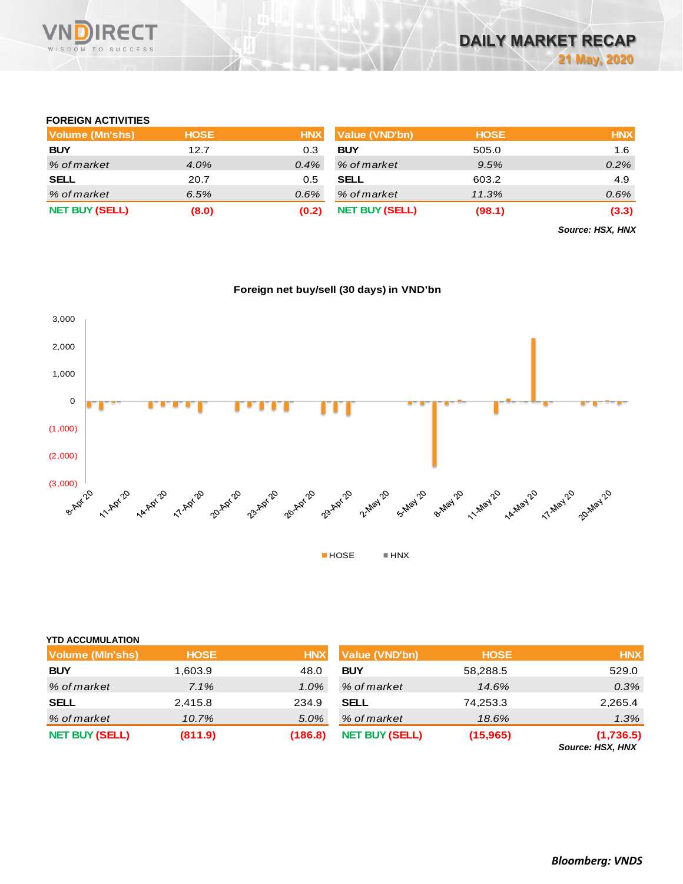

## **FOREIGN ACTIVITIES**

| Volume (Mn'shs)       | <b>HOSE</b> | <b>HNX</b> | <b>Value (VND'bn)</b> | <b>HOSE</b> | <b>HNX</b> |
|-----------------------|-------------|------------|-----------------------|-------------|------------|
| <b>BUY</b>            | 12.7        | 0.3        | <b>BUY</b>            | 505.0       | 1.6        |
| % of market           | $4.0\%$     | $0.4\%$    | % of market           | 9.5%        | 0.2%       |
| <b>SELL</b>           | 20.7        | 0.5        | <b>SELL</b>           | 603.2       | 4.9        |
| % of market           | 6.5%        | 0.6%       | % of market           | 11.3%       | 0.6%       |
| <b>NET BUY (SELL)</b> | (8.0)       | (0.2)      | <b>NET BUY (SELL)</b> | (98.1)      | (3.3)      |

*Source: HSX, HNX*





#### **YTD ACCUMULATION**

| <b>Volume (MIn'shs)</b> | <b>HOSE</b> | <b>HNX</b> | <b>Value (VND'bn)</b> | <b>HOSE</b> | <b>HNX</b>                    |
|-------------------------|-------------|------------|-----------------------|-------------|-------------------------------|
| <b>BUY</b>              | 1,603.9     | 48.0       | <b>BUY</b>            | 58,288.5    | 529.0                         |
| % of market             | 7.1%        | 1.0%       | % of market           | 14.6%       | 0.3%                          |
| <b>SELL</b>             | 2,415.8     | 234.9      | <b>SELL</b>           | 74,253.3    | 2,265.4                       |
| % of market             | 10.7%       | 5.0%       | % of market           | 18.6%       | 1.3%                          |
| <b>NET BUY (SELL)</b>   | (811.9)     | (186.8)    | <b>NET BUY (SELL)</b> | (15, 965)   | (1,736.5)<br>Source: HSX, HNX |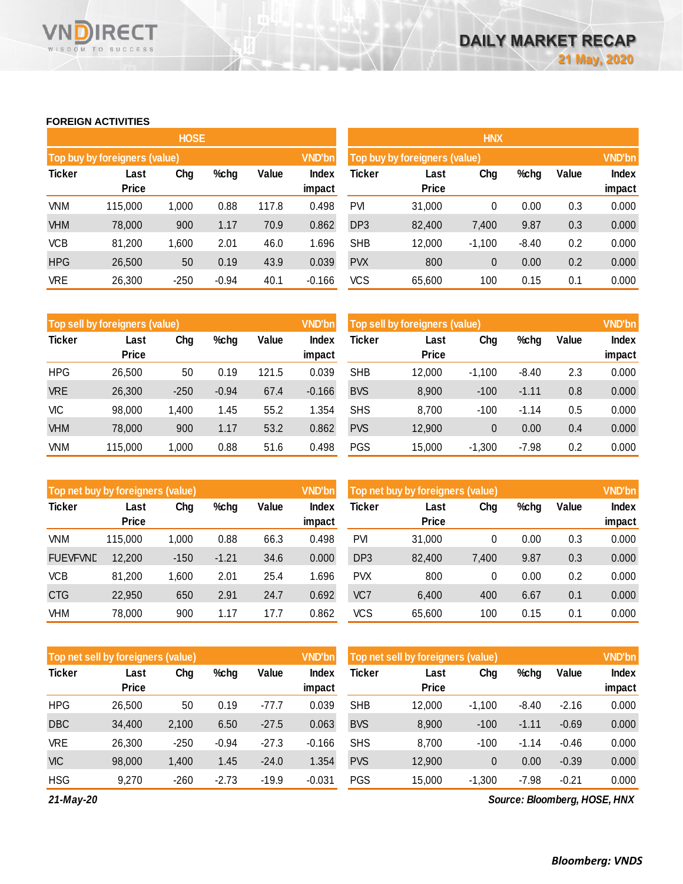### **FOREIGN ACTIVITIES**

WISDOM TO SUCCESS

**RECT** 

VND

|               |                               | <b>HOSE</b> |         |       |                 | <b>HNX</b>                    |                      |               |         |       |                 |
|---------------|-------------------------------|-------------|---------|-------|-----------------|-------------------------------|----------------------|---------------|---------|-------|-----------------|
|               | Top buy by foreigners (value) |             |         |       | VND'bn          | Top buy by foreigners (value) |                      | <b>VND'bn</b> |         |       |                 |
| <b>Ticker</b> | Last<br><b>Price</b>          | Chg         | %chg    | Value | Index<br>impact | <b>Ticker</b>                 | Last<br><b>Price</b> | Chg           | %chg    | Value | Index<br>impact |
| VNM           | 115,000                       | 1,000       | 0.88    | 117.8 | 0.498           | <b>PVI</b>                    | 31,000               | 0             | 0.00    | 0.3   | 0.000           |
| <b>VHM</b>    | 78,000                        | 900         | 1.17    | 70.9  | 0.862           | DP <sub>3</sub>               | 82,400               | 7,400         | 9.87    | 0.3   | 0.000           |
| <b>VCB</b>    | 81,200                        | 1,600       | 2.01    | 46.0  | 1.696           | <b>SHB</b>                    | 12,000               | $-1,100$      | $-8.40$ | 0.2   | 0.000           |
| <b>HPG</b>    | 26,500                        | 50          | 0.19    | 43.9  | 0.039           | <b>PVX</b>                    | 800                  | 0             | 0.00    | 0.2   | 0.000           |
| <b>VRE</b>    | 26,300                        | $-250$      | $-0.94$ | 40.1  | $-0.166$        | <b>VCS</b>                    | 65,600               | 100           | 0.15    | 0.1   | 0.000           |

|               | Top sell by foreigners (value) |        |         |       | <b>VND'bn</b>   | Top sell by foreigners (value), |                      |          |         |       | <b>VND'bn</b>   |
|---------------|--------------------------------|--------|---------|-------|-----------------|---------------------------------|----------------------|----------|---------|-------|-----------------|
| <b>Ticker</b> | Last<br><b>Price</b>           | Chg    | %chg    | Value | Index<br>impact | Ticker                          | Last<br><b>Price</b> | Chg      | %chg    | Value | Index<br>impact |
| <b>HPG</b>    | 26,500                         | 50     | 0.19    | 121.5 | 0.039           | <b>SHB</b>                      | 12,000               | $-1.100$ | $-8.40$ | 2.3   | 0.000           |
| <b>VRE</b>    | 26,300                         | $-250$ | $-0.94$ | 67.4  | $-0.166$        | <b>BVS</b>                      | 8,900                | $-100$   | $-1.11$ | 0.8   | 0.000           |
| <b>VIC</b>    | 98,000                         | 400, 1 | 1.45    | 55.2  | 1.354           | <b>SHS</b>                      | 8,700                | $-100$   | $-1.14$ | 0.5   | 0.000           |
| <b>VHM</b>    | 78,000                         | 900    | 1.17    | 53.2  | 0.862           | <b>PVS</b>                      | 12,900               | 0        | 0.00    | 0.4   | 0.000           |
| VNM           | 115.000                        | 1,000  | 0.88    | 51.6  | 0.498           | <b>PGS</b>                      | 15,000               | $-1.300$ | $-7.98$ | 0.2   | 0.000           |

|                 | Top net buy by foreigners (value) |        |         |       |                 | Top net buy by foreigners (value) |                      |       |      |       | <b>VND'bn</b>          |
|-----------------|-----------------------------------|--------|---------|-------|-----------------|-----------------------------------|----------------------|-------|------|-------|------------------------|
| <b>Ticker</b>   | Last<br><b>Price</b>              | Chg    | %chg    | Value | Index<br>impact | Ticker                            | Last<br><b>Price</b> | Chg   | %chg | Value | <b>Index</b><br>impact |
| <b>VNM</b>      | 115,000                           | 1.000  | 0.88    | 66.3  | 0.498           | PVI                               | 31,000               | 0     | 0.00 | 0.3   | 0.000                  |
| <b>FUEVFVND</b> | 12,200                            | $-150$ | $-1.21$ | 34.6  | 0.000           | DP <sub>3</sub>                   | 82,400               | 7.400 | 9.87 | 0.3   | 0.000                  |
| <b>VCB</b>      | 81,200                            | 1,600  | 2.01    | 25.4  | 1.696           | <b>PVX</b>                        | 800                  | 0     | 0.00 | 0.2   | 0.000                  |
| <b>CTG</b>      | 22,950                            | 650    | 2.91    | 24.7  | 0.692           | VC7                               | 6,400                | 400   | 6.67 | 0.1   | 0.000                  |
| <b>VHM</b>      | 78.000                            | 900    | 1.17    | 17.7  | 0.862           | VCS                               | 65,600               | 100   | 0.15 | 0.1   | 0.000                  |

|               | Top net sell by foreigners (value), |        |         |         |                 | <b>VND'bn</b><br>Top net sell by foreigners (value) |                      |          |         |         | <b>VND'bn</b>          |
|---------------|-------------------------------------|--------|---------|---------|-----------------|-----------------------------------------------------|----------------------|----------|---------|---------|------------------------|
| <b>Ticker</b> | Last<br><b>Price</b>                | Chg    | %chg    | Value   | Index<br>impact | Ticker                                              | Last<br><b>Price</b> | Chg      | %chg    | Value   | <b>Index</b><br>impact |
|               |                                     |        |         |         |                 |                                                     |                      |          |         |         |                        |
| <b>HPG</b>    | 26,500                              | 50     | 0.19    | $-77.7$ | 0.039           | <b>SHB</b>                                          | 12,000               | $-1.100$ | $-8.40$ | $-2.16$ | 0.000                  |
| <b>DBC</b>    | 34.400                              | 2,100  | 6.50    | $-27.5$ | 0.063           | <b>BVS</b>                                          | 8,900                | $-100$   | $-1.11$ | $-0.69$ | 0.000                  |
| <b>VRE</b>    | 26,300                              | $-250$ | $-0.94$ | $-27.3$ | $-0.166$        | <b>SHS</b>                                          | 8,700                | $-100$   | $-1.14$ | $-0.46$ | 0.000                  |
| <b>VIC</b>    | 98,000                              | 1,400  | 1.45    | $-24.0$ | 1.354           | <b>PVS</b>                                          | 12,900               | 0        | 0.00    | $-0.39$ | 0.000                  |
| <b>HSG</b>    | 9,270                               | $-260$ | $-2.73$ | $-19.9$ | $-0.031$        | <b>PGS</b>                                          | 15,000               | $-1,300$ | $-7.98$ | $-0.21$ | 0.000                  |

*21-May-20*

*Source: Bloomberg, HOSE, HNX*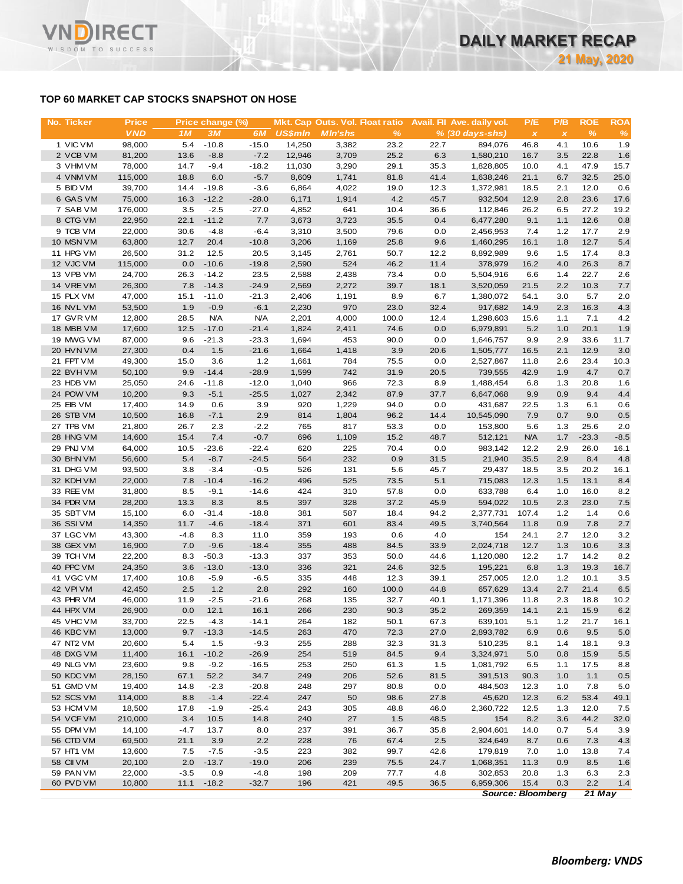## **TOP 60 MARKET CAP STOCKS SNAPSHOT ON HOSE**

**RECT** 

WISDOM TO SUCCESS

**VN** 

| No. Ticker             | <b>Price</b>     |                | Price change (%) |                   |                | Mkt. Cap Outs. Vol. Float ratio |              |             | Avail. Fil Ave. daily vol. | P/E            | P/B          | <b>ROE</b>    | <b>ROA</b> |
|------------------------|------------------|----------------|------------------|-------------------|----------------|---------------------------------|--------------|-------------|----------------------------|----------------|--------------|---------------|------------|
|                        | <b>VND</b>       | 1M             | <b>3M</b>        | 6M                | <b>US\$mln</b> | <b>MIn'shs</b>                  | $\%$         |             | $% (30 days-shs)$          | $\pmb{\times}$ | $\pmb{\chi}$ | $\frac{9}{6}$ | %          |
| 1 VIC VM               | 98,000           | 5.4            | $-10.8$          | $-15.0$           | 14,250         | 3,382                           | 23.2         | 22.7        | 894,076                    | 46.8           | 4.1          | 10.6          | 1.9        |
| 2 VCB VM               | 81,200           | 13.6           | $-8.8$           | $-7.2$            | 12,946         | 3,709                           | 25.2         | 6.3         | 1,580,210                  | 16.7           | 3.5          | 22.8          | 1.6        |
| 3 VHM VM               | 78,000           | 14.7           | $-9.4$           | $-18.2$           | 11,030         | 3,290                           | 29.1         | 35.3        | 1,828,805                  | 10.0           | 4.1          | 47.9          | 15.7       |
| 4 VNM VM               | 115,000          | 18.8           | 6.0              | $-5.7$            | 8,609          | 1,741                           | 81.8         | 41.4        | 1,638,246                  | 21.1           | 6.7          | 32.5          | 25.0       |
| 5 BID VM               | 39,700           | 14.4           | $-19.8$          | $-3.6$            | 6,864          | 4,022                           | 19.0         | 12.3        | 1,372,981                  | 18.5           | 2.1          | 12.0          | 0.6        |
| 6 GAS VM               | 75,000           | 16.3           | $-12.2$          | $-28.0$           | 6,171          | 1,914                           | 4.2          | 45.7        | 932,504                    | 12.9           | 2.8          | 23.6          | 17.6       |
| 7 SAB VM               | 176,000          | 3.5            | $-2.5$           | $-27.0$           | 4,852          | 641                             | 10.4         | 36.6        | 112,846                    | 26.2           | 6.5          | 27.2          | 19.2       |
| 8 CTG VM               | 22,950           | 22.1           | $-11.2$          | 7.7               | 3,673          | 3,723                           | 35.5         | 0.4         | 6,477,280                  | 9.1            | 1.1          | 12.6          | 0.8        |
| 9 TCB VM<br>10 MSN VM  | 22,000<br>63,800 | 30.6<br>12.7   | $-4.8$<br>20.4   | $-6.4$<br>$-10.8$ | 3,310<br>3,206 | 3,500<br>1,169                  | 79.6<br>25.8 | 0.0<br>9.6  | 2,456,953<br>1,460,295     | 7.4<br>16.1    | 1.2<br>1.8   | 17.7<br>12.7  | 2.9<br>5.4 |
| 11 HPG VM              | 26,500           | 31.2           | 12.5             | 20.5              | 3,145          | 2,761                           | 50.7         | 12.2        | 8,892,989                  | 9.6            | 1.5          | 17.4          | 8.3        |
| 12 VJC VM              | 115,000          | 0.0            | $-10.6$          | $-19.8$           | 2,590          | 524                             | 46.2         | 11.4        | 378,979                    | 16.2           | 4.0          | 26.3          | 8.7        |
| 13 VPB VM              | 24,700           | 26.3           | $-14.2$          | 23.5              | 2,588          | 2,438                           | 73.4         | 0.0         | 5,504,916                  | 6.6            | 1.4          | 22.7          | 2.6        |
| 14 VREVM               | 26,300           | 7.8            | $-14.3$          | $-24.9$           | 2,569          | 2,272                           | 39.7         | 18.1        | 3,520,059                  | 21.5           | 2.2          | 10.3          | 7.7        |
| 15 PLX VM              | 47,000           | 15.1           | $-11.0$          | $-21.3$           | 2,406          | 1,191                           | 8.9          | 6.7         | 1,380,072                  | 54.1           | 3.0          | 5.7           | 2.0        |
| 16 NVL VM              | 53,500           | 1.9            | $-0.9$           | $-6.1$            | 2,230          | 970                             | 23.0         | 32.4        | 917,682                    | 14.9           | 2.3          | 16.3          | 4.3        |
| 17 GVR VM              | 12,800           | 28.5           | <b>N/A</b>       | <b>N/A</b>        | 2,201          | 4,000                           | 100.0        | 12.4        | 1,298,603                  | 15.6           | 1.1          | 7.1           | 4.2        |
| 18 MBB VM              | 17,600           | 12.5           | $-17.0$          | $-21.4$           | 1,824          | 2,411                           | 74.6         | 0.0         | 6,979,891                  | 5.2            | 1.0          | 20.1          | 1.9        |
| 19 MWG VM              | 87,000           | 9.6            | $-21.3$          | $-23.3$           | 1,694          | 453                             | 90.0         | 0.0         | 1,646,757                  | 9.9            | 2.9          | 33.6          | 11.7       |
| 20 HVN VM              | 27,300           | 0.4            | 1.5              | $-21.6$           | 1,664          | 1,418                           | 3.9          | 20.6        | 1,505,777                  | 16.5           | 2.1          | 12.9          | 3.0        |
| 21 FPT VM              | 49,300           | 15.0           | 3.6              | $1.2$             | 1,661          | 784                             | 75.5         | 0.0         | 2,527,867                  | 11.8           | 2.6          | 23.4          | 10.3       |
| 22 BVHVM               | 50,100           | 9.9            | $-14.4$          | $-28.9$           | 1,599          | 742                             | 31.9         | 20.5        | 739,555                    | 42.9           | 1.9          | 4.7           | 0.7        |
| 23 HDB VM              | 25,050           | 24.6           | $-11.8$          | $-12.0$           | 1,040          | 966                             | 72.3         | 8.9         | 1,488,454                  | 6.8            | 1.3          | 20.8          | 1.6        |
| 24 POW VM              | 10,200           | 9.3            | $-5.1$           | $-25.5$           | 1,027          | 2,342                           | 87.9         | 37.7        | 6,647,068                  | 9.9            | 0.9          | 9.4           | 4.4        |
| 25 EIB VM              | 17,400           | 14.9           | 0.6              | 3.9               | 920            | 1,229                           | 94.0         | 0.0         | 431,687                    | 22.5           | 1.3          | 6.1           | 0.6        |
| 26 STB VM              | 10,500           | 16.8           | $-7.1$           | 2.9               | 814            | 1,804                           | 96.2         | 14.4        | 10,545,090                 | 7.9            | 0.7          | 9.0           | 0.5        |
| 27 TPB VM              | 21,800           | 26.7           | 2.3              | $-2.2$            | 765            | 817                             | 53.3         | 0.0         | 153,800                    | 5.6            | 1.3          | 25.6          | 2.0        |
| 28 HNG VM              | 14,600           | 15.4           | 7.4              | $-0.7$            | 696            | 1,109                           | 15.2         | 48.7        | 512,121                    | <b>N/A</b>     | 1.7          | $-23.3$       | $-8.5$     |
| 29 PNJ VM              | 64,000           | 10.5           | $-23.6$          | $-22.4$           | 620            | 225                             | 70.4         | 0.0         | 983,142                    | 12.2           | 2.9          | 26.0          | 16.1       |
| 30 BHN VM              | 56,600           | 5.4            | $-8.7$           | $-24.5$           | 564            | 232                             | 0.9          | 31.5        | 21,940                     | 35.5           | 2.9          | 8.4           | 4.8        |
| 31 DHG VM              | 93,500           | 3.8            | $-3.4$           | $-0.5$            | 526            | 131                             | 5.6          | 45.7        | 29,437                     | 18.5           | 3.5          | 20.2          | 16.1       |
| 32 KDH VM              | 22,000           | 7.8            | $-10.4$          | $-16.2$           | 496            | 525                             | 73.5         | 5.1         | 715,083                    | 12.3           | 1.5          | 13.1          | 8.4        |
| 33 REE VM<br>34 PDR VM | 31,800<br>28,200 | 8.5<br>13.3    | $-9.1$<br>8.3    | $-14.6$<br>8.5    | 424<br>397     | 310<br>328                      | 57.8<br>37.2 | 0.0<br>45.9 | 633,788<br>594,022         | 6.4<br>10.5    | 1.0<br>2.3   | 16.0<br>23.0  | 8.2        |
| 35 SBT VM              | 15,100           | 6.0            | $-31.4$          | $-18.8$           | 381            | 587                             | 18.4         | 94.2        | 2,377,731                  | 107.4          | 1.2          | 1.4           | 7.5<br>0.6 |
| 36 SSIVM               | 14,350           | 11.7           | $-4.6$           | $-18.4$           | 371            | 601                             | 83.4         | 49.5        | 3,740,564                  | 11.8           | 0.9          | 7.8           | 2.7        |
| 37 LGC VM              | 43,300           | $-4.8$         | 8.3              | 11.0              | 359            | 193                             | 0.6          | 4.0         | 154                        | 24.1           | 2.7          | 12.0          | 3.2        |
| 38 GEX VM              | 16,900           | 7.0            | $-9.6$           | $-18.4$           | 355            | 488                             | 84.5         | 33.9        | 2,024,718                  | 12.7           | 1.3          | 10.6          | 3.3        |
| 39 TCH VM              | 22,200           | 8.3            | $-50.3$          | $-13.3$           | 337            | 353                             | 50.0         | 44.6        | 1,120,080                  | 12.2           | 1.7          | 14.2          | 8.2        |
| 40 PPC VM              | 24,350           | 3.6            | $-13.0$          | $-13.0$           | 336            | 321                             | 24.6         | 32.5        | 195,221                    | 6.8            | 1.3          | 19.3          | 16.7       |
| 41 VGC VM              | 17,400           | 10.8           | $-5.9$           | $-6.5$            | 335            | 448                             | 12.3         | 39.1        | 257,005                    | 12.0           | 1.2          | 10.1          | 3.5        |
| 42 VPIVM               | 42,450           | 2.5            | 1.2              | 2.8               | 292            | 160                             | 100.0        | 44.8        | 657,629                    | 13.4           | 2.7          | 21.4          | 6.5        |
| 43 PHR VM              | 46,000           | 11.9           | $-2.5$           | $-21.6$           | 268            | 135                             | 32.7         | 40.1        | 1,171,396                  | 11.8           | 2.3          | 18.8          | 10.2       |
| 44 HPX VM              | 26,900           | 0.0            | 12.1             | 16.1              | 266            | 230                             | 90.3         | 35.2        | 269,359                    | 14.1           | 2.1          | 15.9          | 6.2        |
| 45 VHC VM              | 33,700           | 22.5           | $-4.3$           | $-14.1$           | 264            | 182                             | 50.1         | 67.3        | 639,101                    | 5.1            | 1.2          | 21.7          | 16.1       |
| 46 KBC VM              | 13,000           | 9.7            | $-13.3$          | $-14.5$           | 263            | 470                             | 72.3         | 27.0        | 2,893,782                  | 6.9            | 0.6          | 9.5           | 5.0        |
| 47 NT2 VM              | 20,600           | 5.4            | 1.5              | $-9.3$            | 255            | 288                             | 32.3         | 31.3        | 510,235                    | 8.1            | 1.4          | 18.1          | 9.3        |
| 48 DXG VM              | 11,400           | 16.1           | $-10.2$          | $-26.9$           | 254            | 519                             | 84.5         | 9.4         | 3,324,971                  | 5.0            | 0.8          | 15.9          | $5.5\,$    |
| 49 NLG VM              | 23,600           | 9.8            | $-9.2$           | $-16.5$           | 253            | 250                             | 61.3         | 1.5         | 1,081,792                  | 6.5            | 1.1          | 17.5          | 8.8        |
| 50 KDC VM              | 28,150           | 67.1           | 52.2             | 34.7              | 249            | 206                             | 52.6         | 81.5        | 391,513                    | 90.3           | 1.0          | 1.1           | 0.5        |
| 51 GMD VM              | 19,400           | 14.8           | $-2.3$           | $-20.8$           | 248            | 297                             | 80.8         | 0.0         | 484,503                    | 12.3           | 1.0          | 7.8           | 5.0        |
| 52 SCS VM              | 114,000          | 8.8            | $-1.4$           | $-22.4$           | 247            | 50                              | 98.6         | 27.8        | 45,620                     | 12.3           | 6.2          | 53.4          | 49.1       |
| 53 HCM VM              | 18,500           | 17.8           | $-1.9$           | $-25.4$           | 243            | 305                             | 48.8         | 46.0        | 2,360,722                  | 12.5           | 1.3          | 12.0          | 7.5        |
| 54 VCF VM              | 210,000          | 3.4            | 10.5             | 14.8              | 240            | 27                              | 1.5          | 48.5        | 154                        | 8.2            | 3.6          | 44.2          | 32.0       |
| 55 DPM VM              | 14,100           | $-4.7$         | 13.7             | 8.0               | 237            | 391                             | 36.7         | 35.8        | 2,904,601                  | 14.0           | 0.7          | 5.4           | 3.9        |
| 56 CTD VM              | 69,500           | 21.1           | 3.9              | 2.2               | 228            | 76                              | 67.4         | 2.5         | 324,649                    | 8.7            | 0.6          | 7.3           | 4.3        |
| 57 HT1 VM              | 13,600           | 7.5            | $-7.5$           | $-3.5$            | 223            | 382                             | 99.7         | 42.6        | 179,819                    | 7.0            | 1.0          | 13.8          | 7.4        |
| 58 CII VM<br>59 PAN VM | 20,100           | 2.0            | $-13.7$          | $-19.0$<br>$-4.8$ | 206            | 239                             | 75.5         | 24.7        | 1,068,351                  | 11.3           | 0.9          | 8.5           | 1.6        |
| 60 PVD VM              | 22,000<br>10,800 | $-3.5$<br>11.1 | 0.9<br>$-18.2$   | $-32.7$           | 198<br>196     | 209<br>421                      | 77.7<br>49.5 | 4.8<br>36.5 | 302,853<br>6,959,306       | 20.8<br>15.4   | 1.3<br>0.3   | 6.3<br>2.2    | 2.3<br>1.4 |
|                        |                  |                |                  |                   |                |                                 |              |             |                            |                |              |               |            |